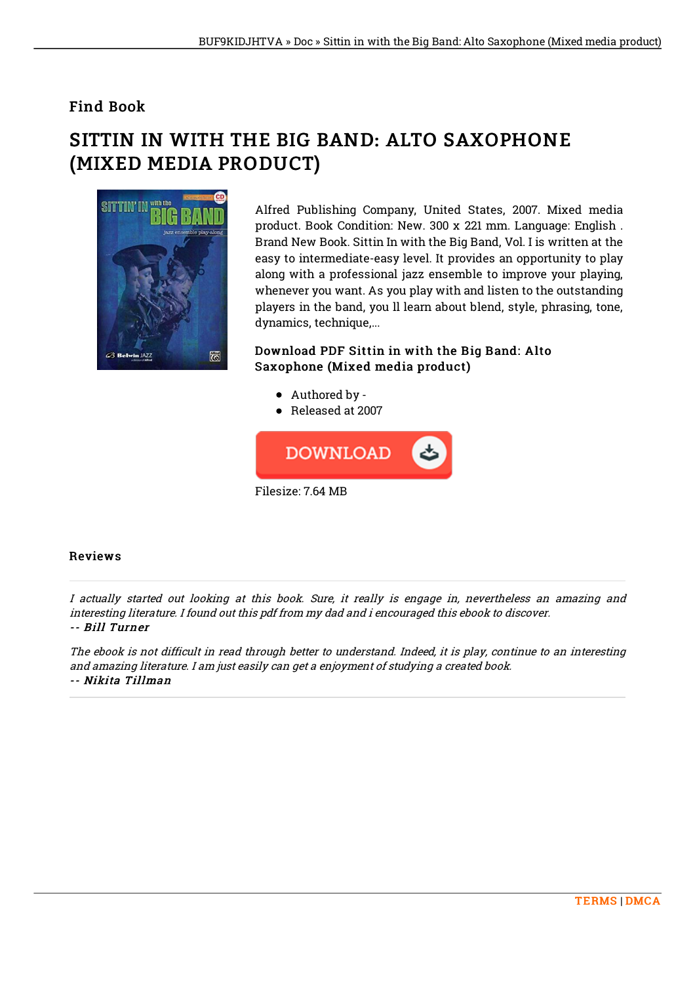## Find Book

## SITTIN IN WITH THE BIG BAND: ALTO SAXOPHONE (MIXED MEDIA PRODUCT)



Alfred Publishing Company, United States, 2007. Mixed media product. Book Condition: New. 300 x 221 mm. Language: English . Brand New Book. Sittin In with the Big Band, Vol. I is written at the easy to intermediate-easy level. It provides an opportunity to play along with a professional jazz ensemble to improve your playing, whenever you want. As you play with and listen to the outstanding players in the band, you ll learn about blend, style, phrasing, tone, dynamics, technique,...

Download PDF Sittin in with the Big Band: Alto Saxophone (Mixed media product)

- Authored by -
- Released at 2007



## Reviews

I actually started out looking at this book. Sure, it really is engage in, nevertheless an amazing and interesting literature. I found out this pdf from my dad and i encouraged this ebook to discover. -- Bill Turner

The ebook is not difficult in read through better to understand. Indeed, it is play, continue to an interesting and amazing literature. I am just easily can get <sup>a</sup> enjoyment of studying <sup>a</sup> created book. -- Nikita Tillman